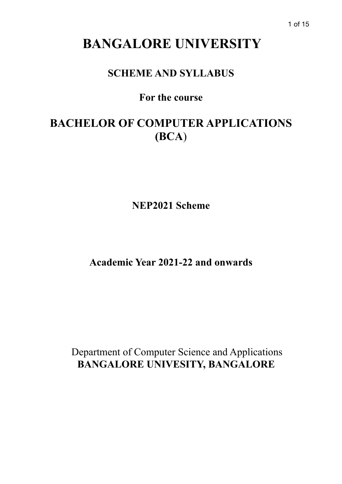# **BANGALORE UNIVERSITY**

## **SCHEME AND SYLLABUS**

## **For the course**

# **BACHELOR OF COMPUTER APPLICATIONS (BCA**)

**NEP2021 Scheme**

**Academic Year 2021-22 and onwards**

 Department of Computer Science and Applications  **BANGALORE UNIVESITY, BANGALORE**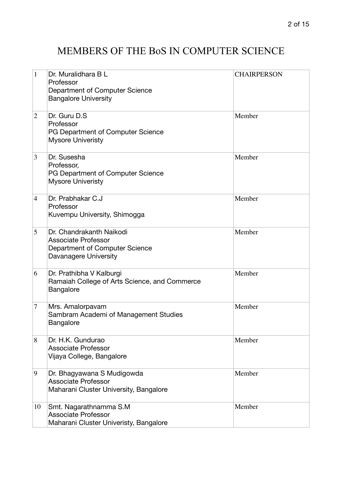## MEMBERS OF THE BoS IN COMPUTER SCIENCE

| $\mathbf{1}$   | Dr. Muralidhara B L<br>Professor<br>Department of Computer Science<br><b>Bangalore University</b>                 | <b>CHAIRPERSON</b> |
|----------------|-------------------------------------------------------------------------------------------------------------------|--------------------|
| $\overline{2}$ | Dr. Guru D.S.<br>Professor<br>PG Department of Computer Science<br><b>Mysore Univeristy</b>                       | Member             |
| 3              | Dr. Susesha<br>Professor,<br>PG Department of Computer Science<br><b>Mysore Univeristy</b>                        | Member             |
| $\overline{4}$ | Dr. Prabhakar C.J<br>Professor<br>Kuvempu University, Shimogga                                                    | Member             |
| 5              | Dr. Chandrakanth Naikodi<br><b>Associate Professor</b><br>Department of Computer Science<br>Davanagere University | Member             |
| 6              | Dr. Prathibha V Kalburgi<br>Ramaiah College of Arts Science, and Commerce<br>Bangalore                            | Member             |
| 7              | Mrs. Amalorpavam<br>Sambram Academi of Management Studies<br><b>Bangalore</b>                                     | Member             |
| 8              | Dr. H.K. Gundurao<br><b>Associate Professor</b><br>Vijaya College, Bangalore                                      | Member             |
| 9              | Dr. Bhagyawana S Mudigowda<br><b>Associate Professor</b><br>Maharani Cluster University, Bangalore                | Member             |
| 10             | Smt. Nagarathnamma S.M<br><b>Associate Professor</b><br>Maharani Cluster Univeristy, Bangalore                    | Member             |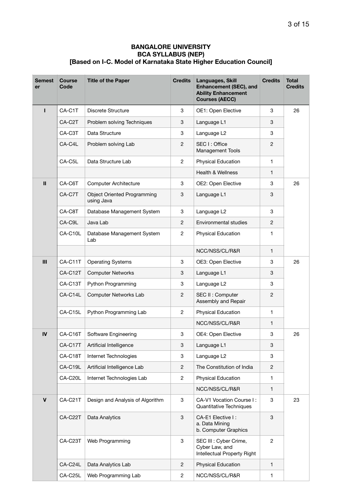| <b>Semest</b><br>er | <b>Course</b><br>Code | <b>Title of the Paper</b>                        | <b>Credits</b>            | Languages, Skill<br>Enhancement (SEC), and<br><b>Ability Enhancement</b><br><b>Courses (AECC)</b> | <b>Credits</b> | Total<br><b>Credits</b> |
|---------------------|-----------------------|--------------------------------------------------|---------------------------|---------------------------------------------------------------------------------------------------|----------------|-------------------------|
|                     | CA-C1T                | Discrete Structure                               | 3                         | OE1: Open Elective                                                                                | 3              | 26                      |
|                     | CA-C2T                | Problem solving Techniques                       | 3                         | Language L1                                                                                       | 3              |                         |
|                     | CA-C3T                | Data Structure                                   | 3                         | Language L2                                                                                       | 3              |                         |
|                     | CA-C4L                | Problem solving Lab                              | $\overline{c}$            | SEC I: Office<br>Management Tools                                                                 | 2              |                         |
|                     | CA-C5L                | Data Structure Lab                               | $\overline{c}$            | Physical Education                                                                                | 1              |                         |
|                     |                       |                                                  |                           | Health & Wellness                                                                                 | 1              |                         |
| $\mathbf{II}$       | CA-C6T                | <b>Computer Architecture</b>                     | 3                         | OE2: Open Elective                                                                                | 3              | 26                      |
|                     | CA-C7T                | <b>Object Oriented Programming</b><br>using Java | 3                         | Language L1                                                                                       | 3              |                         |
|                     | CA-C8T                | Database Management System                       | 3                         | Language L <sub>2</sub>                                                                           | 3              |                         |
|                     | CA-C9L                | Java Lab                                         | 2                         | Environmental studies                                                                             | 2              |                         |
|                     | CA-C10L               | Database Management System<br>Lab                | $\overline{c}$            | Physical Education                                                                                | 1              |                         |
|                     |                       |                                                  |                           | NCC/NSS/CL/R&R                                                                                    | 1              |                         |
| III                 | CA-C11T               | <b>Operating Systems</b>                         | 3                         | OE3: Open Elective                                                                                | 3              | 26                      |
|                     | CA-C12T               | <b>Computer Networks</b>                         | 3                         | Language L1                                                                                       | 3              |                         |
|                     | CA-C13T               | Python Programming                               | 3                         | Language L2                                                                                       | 3              |                         |
|                     | CA-C14L               | Computer Networks Lab                            | $\overline{c}$            | SEC II : Computer<br>Assembly and Repair                                                          | 2              |                         |
|                     | CA-C15L               | Python Programming Lab                           | $\overline{2}$            | Physical Education                                                                                | 1              |                         |
|                     |                       |                                                  |                           | NCC/NSS/CL/R&R                                                                                    | 1              |                         |
| ${\sf IV}$          | CA-C16T               | Software Engineering                             | 3                         | OE4: Open Elective                                                                                | 3              | 26                      |
|                     | CA-C17T               | Artificial Intelligence                          | 3                         | Language L1                                                                                       | 3              |                         |
|                     | CA-C18T               | Internet Technologies                            | 3                         | Language L <sub>2</sub>                                                                           | 3              |                         |
|                     | CA-C19L               | Artificial Intelligence Lab                      | $\overline{c}$            | The Constitution of India                                                                         | $\overline{c}$ |                         |
|                     | CA-C20L               | Internet Technologies Lab                        | $\overline{c}$            | Physical Education                                                                                | 1              |                         |
|                     |                       |                                                  |                           | NCC/NSS/CL/R&R                                                                                    | 1              |                         |
| $\mathbf{V}$        | CA-C21T               | Design and Analysis of Algorithm                 | $\ensuremath{\mathsf{3}}$ | CA-V1 Vocation Course I:<br>Quantitative Techniques                                               | 3              | 23                      |
|                     | CA-C22T               | Data Analytics                                   | 3                         | CA-E1 Elective I:<br>a. Data Mining<br>b. Computer Graphics                                       | 3              |                         |
|                     | CA-C23T               | Web Programming                                  | 3                         | SEC III : Cyber Crime,<br>Cyber Law, and<br>Intellectual Property Right                           | $\overline{c}$ |                         |
|                     | CA-C24L               | Data Analytics Lab                               | $\overline{c}$            | Physical Education                                                                                | 1              |                         |
|                     | CA-C25L               | Web Programming Lab                              | $\overline{c}$            | NCC/NSS/CL/R&R                                                                                    | 1              |                         |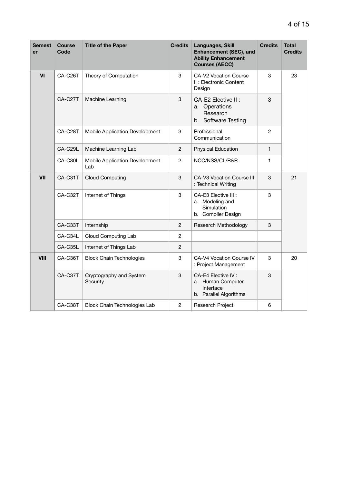| Semest<br>er | <b>Course</b><br>Code | <b>Title of the Paper</b>             | <b>Credits</b> | Languages, Skill<br><b>Enhancement (SEC), and</b><br><b>Ability Enhancement</b><br><b>Courses (AECC)</b> | <b>Credits</b> | <b>Total</b><br><b>Credits</b> |
|--------------|-----------------------|---------------------------------------|----------------|----------------------------------------------------------------------------------------------------------|----------------|--------------------------------|
| VI           | CA-C26T               | Theory of Computation                 | 3              | CA-V2 Vocation Course<br>II: Electronic Content<br>Design                                                | 3              | 23                             |
|              | CA-C27T               | Machine Learning                      | 3              | CA-E2 Elective II :<br>a. Operations<br>Research<br>b. Software Testing                                  | 3              |                                |
|              | CA-C28T               | Mobile Application Development        | 3              | Professional<br>Communication                                                                            | 2              |                                |
|              | CA-C29L               | Machine Learning Lab                  | $\overline{c}$ | <b>Physical Education</b>                                                                                | 1              |                                |
|              | CA-C30L               | Mobile Application Development<br>Lab | $\overline{c}$ | NCC/NSS/CL/R&R                                                                                           | 1              |                                |
| VII          | CA-C31T               | <b>Cloud Computing</b>                | 3              | CA-V3 Vocation Course III<br>: Technical Writing                                                         | 3              | 21                             |
|              | CA-C32T               | Internet of Things                    | 3              | CA-E3 Elective III :<br>a. Modeling and<br>Simulation<br>b. Compiler Design                              | 3              |                                |
|              | CA-C33T               | Internship                            | $\overline{c}$ | Research Methodology                                                                                     | 3              |                                |
|              | CA-C34L               | Cloud Computing Lab                   | $\overline{c}$ |                                                                                                          |                |                                |
|              | CA-C35L               | Internet of Things Lab                | $\overline{c}$ |                                                                                                          |                |                                |
| <b>VIII</b>  | CA-C36T               | <b>Block Chain Technologies</b>       | 3              | CA-V4 Vocation Course IV<br>: Project Management                                                         | 3              | 20                             |
|              | CA-C37T               | Cryptography and System<br>Security   | 3              | CA-E4 Elective IV :<br>a. Human Computer<br>Interface<br>b. Parallel Algorithms                          | 3              |                                |
|              | CA-C38T               | <b>Block Chain Technologies Lab</b>   | 2              | Research Project                                                                                         | 6              |                                |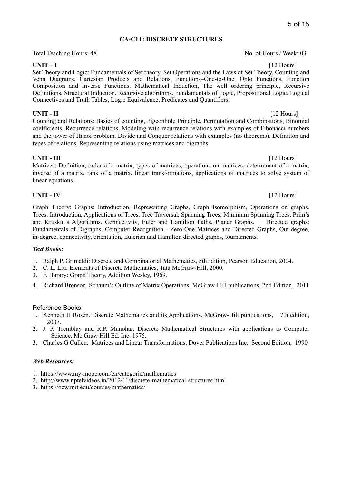### **CA-C1T: DISCRETE STRUCTURES**

Total Teaching Hours: 48 No. of Hours / Week: 03

**UNIT – I** [12 Hours] Set Theory and Logic: Fundamentals of Set theory, Set Operations and the Laws of Set Theory, Counting and Venn Diagrams, Cartesian Products and Relations, Functions–One-to-One, Onto Functions, Function Composition and Inverse Functions. Mathematical Induction, The well ordering principle, Recursive Definitions, Structural Induction, Recursive algorithms. Fundamentals of Logic, Propositional Logic, Logical Connectives and Truth Tables, Logic Equivalence, Predicates and Quantifiers.

### **UNIT - II** [12 Hours]

Counting and Relations: Basics of counting, Pigeonhole Principle, Permutation and Combinations, Binomial coefficients. Recurrence relations, Modeling with recurrence relations with examples of Fibonacci numbers and the tower of Hanoi problem. Divide and Conquer relations with examples (no theorems). Definition and types of relations, Representing relations using matrices and digraphs

### **UNIT - III** [12 Hours]

Matrices: Definition, order of a matrix, types of matrices, operations on matrices, determinant of a matrix, inverse of a matrix, rank of a matrix, linear transformations, applications of matrices to solve system of linear equations.

### **UNIT - IV** [12 Hours]

Graph Theory: Graphs: Introduction, Representing Graphs, Graph Isomorphism, Operations on graphs. Trees: Introduction, Applications of Trees, Tree Traversal, Spanning Trees, Minimum Spanning Trees, Prim's and Kruskul's Algorithms. Connectivity, Euler and Hamilton Paths, Planar Graphs. Directed graphs: Fundamentals of Digraphs, Computer Recognition - Zero-One Matrices and Directed Graphs, Out-degree, in-degree, connectivity, orientation, Eulerian and Hamilton directed graphs, tournaments.

### *Text Books:*

- 1. Ralph P. Grimaldi: Discrete and Combinatorial Mathematics, 5thEdition, Pearson Education, 2004.
- 2. C. L. Liu: Elements of Discrete Mathematics, Tata McGraw-Hill, 2000.
- 3. F. Harary: Graph Theory, Addition Wesley, 1969.
- 4. Richard Bronson, Schaum's Outline of Matrix Operations, McGraw-Hill publications, 2nd Edition, 2011

### Reference Books:

- 1. Kenneth H Rosen. Discrete Mathematics and its Applications, McGraw-Hill publications, 7th edition, 2007.
- 2. J. P. Tremblay and R.P. Manohar. Discrete Mathematical Structures with applications to Computer Science, Mc Graw Hill Ed. Inc. 1975.
- 3. Charles G Cullen. Matrices and Linear Transformations, Dover Publications Inc., Second Edition, 1990

### *Web Resources:*

- 1*.* https://www.my-mooc.com/en/categorie/mathematics
- 2. http://www.nptelvideos.in/2012/11/discrete-mathematical-structures.html
- 3. <https://ocw.mit.edu/courses/mathematics/>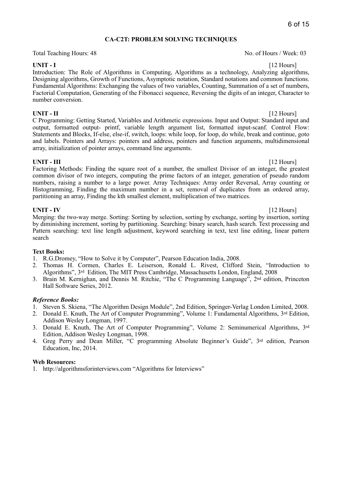### **CA-C2T: PROBLEM SOLVING TECHNIQUES**

Total Teaching Hours: 48 No. of Hours / Week: 03

**UNIT - I** [12 Hours] Introduction: The Role of Algorithms in Computing, Algorithms as a technology, Analyzing algorithms, Designing algorithms, Growth of Functions, Asymptotic notation, Standard notations and common functions. Fundamental Algorithms: Exchanging the values of two variables, Counting, Summation of a set of numbers, Factorial Computation, Generating of the Fibonacci sequence, Reversing the digits of an integer, Character to number conversion.

**UNIT - II** [12 Hours] C Programming: Getting Started, Variables and Arithmetic expressions. Input and Output: Standard input and output, formatted output- printf, variable length argument list, formatted input-scanf. Control Flow: Statements and Blocks, If-else, else-if, switch, loops: while loop, for loop, do while, break and continue, goto and labels. Pointers and Arrays: pointers and address, pointers and function arguments, multidimensional array, initialization of pointer arrays, command line arguments.

**UNIT - III** [12 Hours] Factoring Methods: Finding the square root of a number, the smallest Divisor of an integer, the greatest common divisor of two integers, computing the prime factors of an integer, generation of pseudo random numbers, raising a number to a large power. Array Techniques: Array order Reversal, Array counting or Histogramming, Finding the maximum number in a set, removal of duplicates from an ordered array, partitioning an array, Finding the kth smallest element, multiplication of two matrices.

**UNIT - IV** [12 Hours] Merging: the two-way merge. Sorting: Sorting by selection, sorting by exchange, sorting by insertion, sorting by diminishing increment, sorting by partitioning. Searching: binary search, hash search. Text processing and Pattern searching: text line length adjustment, keyword searching in text, text line editing, linear pattern search

### **Text Books:**

1. R.G.Dromey, "How to Solve it by Computer", Pearson Education India, 2008.

- 2. Thomas H. Cormen, Charles E. Leiserson, Ronald L. Rivest, Clifford Stein, "Introduction to Algorithms", 3rd Edition, The MIT Press Cambridge, Massachusetts London, England, 2008
- 3. Brain M. Kernighan, and Dennis M. Ritchie, "The C Programming Language", 2nd edition, Princeton Hall Software Series, 2012.

### *Reference Books:*

- 1. Steven S. Skiena, "The Algorithm Design Module", 2nd Edition, Springer-Verlag London Limited, 2008.
- 2. Donald E. Knuth, The Art of Computer Programming", Volume 1: Fundamental Algorithms, 3rd Edition, Addison Wesley Longman, 1997.
- 3. Donald E. Knuth, The Art of Computer Programming", Volume 2: Seminumerical Algorithms, 3rd Edition, Addison Wesley Longman, 1998.
- 4. Greg Perry and Dean Miller, "C programming Absolute Beginner's Guide", 3rd edition, Pearson Education, Inc, 2014.

### **Web Resources:**

1. <http://algorithmsforinterviews.com> "Algorithms for Interviews"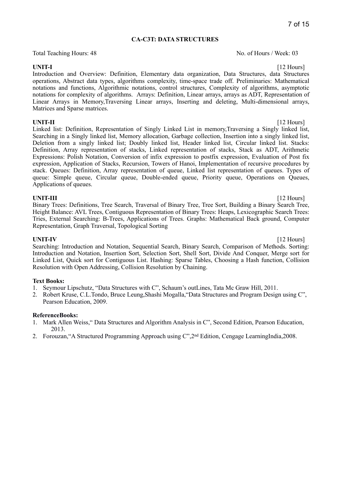### **CA-C3T: DATA STRUCTURES**

Total Teaching Hours: 48 No. of Hours / Week: 03

**UNIT-I** [12 Hours] Introduction and Overview: Definition, Elementary data organization, Data Structures, data Structures operations, Abstract data types, algorithms complexity, time-space trade off. Preliminaries: Mathematical notations and functions, Algorithmic notations, control structures, Complexity of algorithms, asymptotic notations for complexity of algorithms. Arrays: Definition, Linear arrays, arrays as ADT, Representation of Linear Arrays in Memory,Traversing Linear arrays, Inserting and deleting, Multi-dimensional arrays, Matrices and Sparse matrices.

**UNIT-II** [12 Hours] Linked list: Definition, Representation of Singly Linked List in memory,Traversing a Singly linked list, Searching in a Singly linked list, Memory allocation, Garbage collection, Insertion into a singly linked list, Deletion from a singly linked list; Doubly linked list, Header linked list, Circular linked list. Stacks: Definition, Array representation of stacks, Linked representation of stacks, Stack as ADT, Arithmetic Expressions: Polish Notation, Conversion of infix expression to postfix expression, Evaluation of Post fix expression, Application of Stacks, Recursion, Towers of Hanoi, Implementation of recursive procedures by stack. Queues: Definition, Array representation of queue, Linked list representation of queues. Types of queue: Simple queue, Circular queue, Double-ended queue, Priority queue, Operations on Queues, Applications of queues.

### **UNIT-III** [12 Hours]

Binary Trees: Definitions, Tree Search, Traversal of Binary Tree, Tree Sort, Building a Binary Search Tree, Height Balance: AVL Trees, Contiguous Representation of Binary Trees: Heaps, Lexicographic Search Trees: Tries, External Searching: B-Trees, Applications of Trees. Graphs: Mathematical Back ground, Computer Representation, Graph Traversal, Topological Sorting

**UNIT-IV** [12 Hours] Searching: Introduction and Notation, Sequential Search, Binary Search, Comparison of Methods. Sorting: Introduction and Notation, Insertion Sort, Selection Sort, Shell Sort, Divide And Conquer, Merge sort for Linked List, Quick sort for Contiguous List. Hashing: Sparse Tables, Choosing a Hash function, Collision Resolution with Open Addressing, Collision Resolution by Chaining.

### **Text Books:**

- 1. Seymour Lipschutz, "Data Structures with C", Schaum's outLines, Tata Mc Graw Hill, 2011.
- 2. Robert Kruse, C.L.Tondo, Bruce Leung,Shashi Mogalla,"Data Structures and Program Design using C", Pearson Education, 2009.

### **ReferenceBooks:**

- 1. Mark Allen Weiss," Data Structures and Algorithm Analysis in C", Second Edition, Pearson Education, 2013.
- 2. Forouzan,"A Structured Programming Approach using C",2nd Edition, Cengage LearningIndia,2008.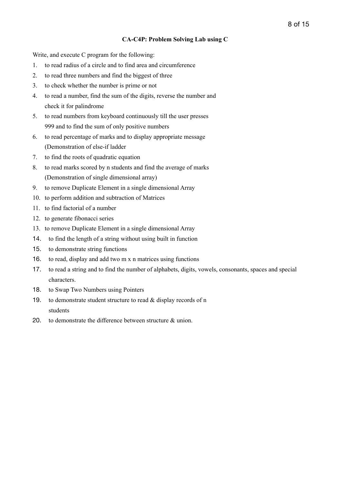### **CA-C4P: Problem Solving Lab using C**

Write, and execute C program for the following:

- 1. to read radius of a circle and to find area and circumference
- 2. to read three numbers and find the biggest of three
- 3. to check whether the number is prime or not
- 4. to read a number, find the sum of the digits, reverse the number and check it for palindrome
- 5. to read numbers from keyboard continuously till the user presses 999 and to find the sum of only positive numbers
- 6. to read percentage of marks and to display appropriate message (Demonstration of else-if ladder
- 7. to find the roots of quadratic equation
- 8. to read marks scored by n students and find the average of marks (Demonstration of single dimensional array)
- 9. to remove Duplicate Element in a single dimensional Array
- 10. to perform addition and subtraction of Matrices
- 11. to find factorial of a number
- 12. to generate fibonacci series
- 13. to remove Duplicate Element in a single dimensional Array
- 14. to find the length of a string without using built in function
- 15. to demonstrate string functions
- 16. to read, display and add two m x n matrices using functions
- 17. to read a string and to find the number of alphabets, digits, vowels, consonants, spaces and special characters.
- 18. to Swap Two Numbers using Pointers
- 19. to demonstrate student structure to read  $&$  display records of n students
- 20. to demonstrate the difference between structure & union.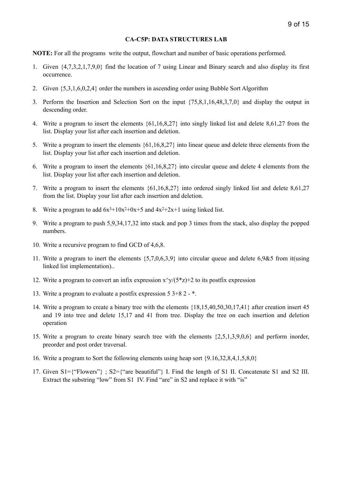### **CA-C5P: DATA STRUCTURES LAB**

**NOTE:** For all the programs write the output, flowchart and number of basic operations performed.

- 1. Given {4,7,3,2,1,7,9,0} find the location of 7 using Linear and Binary search and also display its first occurrence.
- 2. Given {5,3,1,6,0,2,4} order the numbers in ascending order using Bubble Sort Algorithm
- 3. Perform the Insertion and Selection Sort on the input {75,8,1,16,48,3,7,0} and display the output in descending order.
- 4. Write a program to insert the elements {61,16,8,27} into singly linked list and delete 8,61,27 from the list. Display your list after each insertion and deletion.
- 5. Write a program to insert the elements {61,16,8,27} into linear queue and delete three elements from the list. Display your list after each insertion and deletion.
- 6. Write a program to insert the elements {61,16,8,27} into circular queue and delete 4 elements from the list. Display your list after each insertion and deletion.
- 7. Write a program to insert the elements {61,16,8,27} into ordered singly linked list and delete 8,61,27 from the list. Display your list after each insertion and deletion.
- 8. Write a program to add  $6x^3+10x^2+0x+5$  and  $4x^2+2x+1$  using linked list.
- 9. Write a program to push 5,9,34,17,32 into stack and pop 3 times from the stack, also display the popped numbers.
- 10. Write a recursive program to find GCD of 4,6,8.
- 11. Write a program to inert the elements {5,7,0,6,3,9} into circular queue and delete 6,9&5 from it(using linked list implementation)..
- 12. Write a program to convert an infix expression  $x^y/(5^z)$  +2 to its postfix expression
- 13. Write a program to evaluate a postfix expression 5 3+8 2 \*.
- 14. Write a program to create a binary tree with the elements {18,15,40,50,30,17,41} after creation insert 45 and 19 into tree and delete 15,17 and 41 from tree. Display the tree on each insertion and deletion operation
- 15. Write a program to create binary search tree with the elements {2,5,1,3,9,0,6} and perform inorder, preorder and post order traversal.
- 16. Write a program to Sort the following elements using heap sort {9.16,32,8,4,1,5,8,0}
- 17. Given S1={"Flowers"} ; S2={"are beautiful"} I. Find the length of S1 II. Concatenate S1 and S2 III. Extract the substring "low" from S1 IV. Find "are" in S2 and replace it with "is"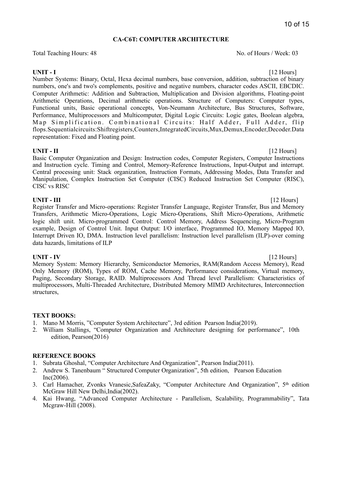### **CA-C6T: COMPUTER ARCHITECTURE**

Total Teaching Hours: 48 No. of Hours / Week: 03

**UNIT - I** [12 Hours] Number Systems: Binary, Octal, Hexa decimal numbers, base conversion, addition, subtraction of binary numbers, one's and two's complements, positive and negative numbers, character codes ASCII, EBCDIC. Computer Arithmetic: Addition and Subtraction, Multiplication and Division algorithms, Floating-point Arithmetic Operations, Decimal arithmetic operations. Structure of Computers: Computer types, Functional units, Basic operational concepts, Von-Neumann Architecture, Bus Structures, Software, Performance, Multiprocessors and Multicomputer, Digital Logic Circuits: Logic gates, Boolean algebra, Map Simplification. Combinational Circuits: Half Adder, Full Adder, flip flops.Sequentialcircuits:Shiftregisters,Counters,IntegratedCircuits,Mux,Demux,Encoder,Decoder.Data representation: Fixed and Floating point.

**UNIT - II** [12 Hours] Basic Computer Organization and Design: Instruction codes, Computer Registers, Computer Instructions and Instruction cycle. Timing and Control, Memory-Reference Instructions, Input-Output and interrupt. Central processing unit: Stack organization, Instruction Formats, Addressing Modes, Data Transfer and Manipulation, Complex Instruction Set Computer (CISC) Reduced Instruction Set Computer (RISC), CISC vs RISC

**UNIT - III** [12 Hours] Register Transfer and Micro-operations: Register Transfer Language, Register Transfer, Bus and Memory Transfers, Arithmetic Micro-Operations, Logic Micro-Operations, Shift Micro-Operations, Arithmetic logic shift unit. Micro-programmed Control: Control Memory, Address Sequencing, Micro-Program example, Design of Control Unit. Input Output: I/O interface, Programmed IO, Memory Mapped IO, Interrupt Driven IO, DMA. Instruction level parallelism: Instruction level parallelism (ILP)-over coming data hazards, limitations of ILP

**UNIT - IV** [12 Hours] Memory System: Memory Hierarchy, Semiconductor Memories, RAM(Random Access Memory), Read Only Memory (ROM), Types of ROM, Cache Memory, Performance considerations, Virtual memory, Paging, Secondary Storage, RAID. Multiprocessors And Thread level Parallelism: Characteristics of multiprocessors, Multi-Threaded Architecture, Distributed Memory MIMD Architectures, Interconnection structures,

### **TEXT BOOKS:**

- 1. Mano M Morris, "Computer System Architecture", 3rd edition Pearson India(2019).
- 2. William Stallings, "Computer Organization and Architecture designing for performance", 10th edition, Pearson(2016)

### **REFERENCE BOOKS**

- 1. Subrata Ghoshal, "Computer Architecture And Organization", Pearson India(2011).
- 2. Andrew S. Tanenbaum " Structured Computer Organization", 5th edition, Pearson Education  $Inc(2006)$ .
- 3. Carl Hamacher, Zvonks Vranesic,SafeaZaky, "Computer Architecture And Organization", 5th edition McGraw Hill New Delhi,India(2002).
- 4. Kai Hwang, "Advanced Computer Architecture Parallelism, Scalability, Programmability", Tata Mcgraw-Hill (2008).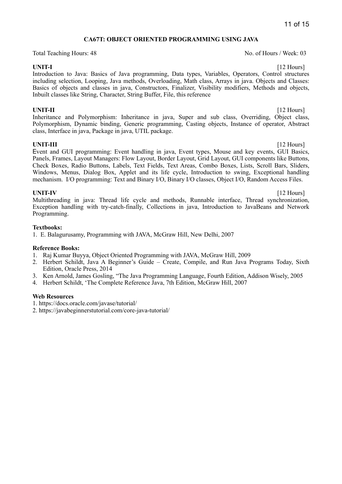### **CA67T: OBJECT ORIENTED PROGRAMMING USING JAVA**

Total Teaching Hours: 48 No. of Hours / Week: 03

Introduction to Java: Basics of Java programming, Data types, Variables, Operators, Control structures including selection, Looping, Java methods, Overloading, Math class, Arrays in java. Objects and Classes: Basics of objects and classes in java, Constructors, Finalizer, Visibility modifiers, Methods and objects, Inbuilt classes like String, Character, String Buffer, File, this reference

**UNIT-II** [12 Hours] Inheritance and Polymorphism: Inheritance in java, Super and sub class, Overriding, Object class, Polymorphism, Dynamic binding, Generic programming, Casting objects, Instance of operator, Abstract class, Interface in java, Package in java, UTIL package.

**UNIT-III** [12 Hours] Event and GUI programming: Event handling in java, Event types, Mouse and key events, GUI Basics, Panels, Frames, Layout Managers: Flow Layout, Border Layout, Grid Layout, GUI components like Buttons, Check Boxes, Radio Buttons, Labels, Text Fields, Text Areas, Combo Boxes, Lists, Scroll Bars, Sliders, Windows, Menus, Dialog Box, Applet and its life cycle, Introduction to swing, Exceptional handling mechanism. I/O programming: Text and Binary I/O, Binary I/O classes, Object I/O, Random Access Files.

**UNIT-IV** [12 Hours] Multithreading in java: Thread life cycle and methods, Runnable interface, Thread synchronization, Exception handling with try-catch-finally, Collections in java, Introduction to JavaBeans and Network Programming.

### **Textbooks:**

1. E. Balagurusamy, Programming with JAVA, McGraw Hill, New Delhi, 2007

### **Reference Books:**

- 1. Raj Kumar Buyya, Object Oriented Programming with JAVA, McGraw Hill, 2009
- 2. Herbert Schildt, Java A Beginner's Guide Create, Compile, and Run Java Programs Today, Sixth Edition, Oracle Press, 2014
- 3. Ken Arnold, James Gosling, "The Java Programming Language, Fourth Edition, Addison Wisely, 2005
- 4. Herbert Schildt, 'The Complete Reference Java, 7th Edition, McGraw Hill, 2007

### **Web Resources**

- 1. https://docs.oracle.com/javase/tutorial/
- 2. https://javabeginnerstutorial.com/core-java-tutorial/

**UNIT-I** [12 Hours]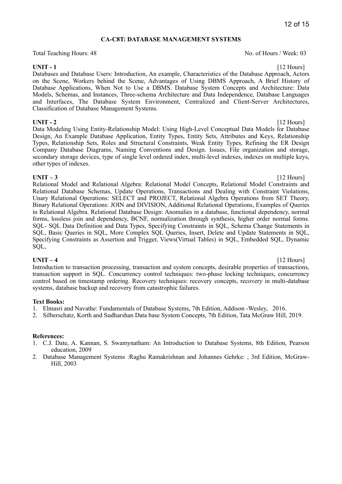### **CA-C8T: DATABASE MANAGEMENT SYSTEMS**

Total Teaching Hours: 48 No. of Hours / Week: 03

**UNIT - 1** [12 Hours] Databases and Database Users: Introduction, An example, Characteristics of the Database Approach, Actors on the Scene, Workers behind the Scene, Advantages of Using DBMS Approach, A Brief History of Database Applications, When Not to Use a DBMS. Database System Concepts and Architecture: Data Models, Schemas, and Instances, Three-schema Architecture and Data Independence, Database Languages and Interfaces, The Database System Environment, Centralized and Client-Server Architectures, Classification of Database Management Systems.

**UNIT - 2** [12 Hours] Data Modeling Using Entity-Relationship Model: Using High-Level Conceptual Data Models for Database Design, An Example Database Application, Entity Types, Entity Sets, Attributes and Keys, Relationship Types, Relationship Sets, Roles and Structural Constraints, Weak Entity Types, Refining the ER Design Company Database Diagrams, Naming Conventions and Design. Issues, File organization and storage, secondary storage devices, type of single level ordered index, multi-level indexes, indexes on multiple keys, other types of indexes.

**UNIT – 3** [12 Hours] Relational Model and Relational Algebra: Relational Model Concepts, Relational Model Constraints and Relational Database Schemas, Update Operations, Transactions and Dealing with Constraint Violations, Unary Relational Operations: SELECT and PROJECT, Relational Algebra Operations from SET Theory, Binary Relational Operations: JOIN and DIVISION, Additional Relational Operations, Examples of Queries in Relational Algebra. Relational Database Design: Anomalies in a database, functional dependency, normal forms, lossless join and dependency, BCNF, normalization through synthesis, higher order normal forms. SQL- SQL Data Definition and Data Types, Specifying Constraints in SQL, Schema Change Statements in SQL, Basic Queries in SQL, More Complex SQL Queries, Insert, Delete and Update Statements in SQL, Specifying Constraints as Assertion and Trigger, Views(Virtual Tables) in SQL, Embedded SQL, Dynamic SQL,

**UNIT – 4** [12 Hours] Introduction to transaction processing, transaction and system concepts, desirable properties of transactions, transaction support in SQL. Concurrency control techniques: two-phase locking techniques, concurrency control based on timestamp ordering. Recovery techniques: recovery concepts, recovery in multi-database systems, database backup and recovery from catastrophic failures.

### **Text Books:**

- 1. Elmasri and Navathe: Fundamentals of Database Systems, 7th Edition, Addison -Wesley, 2016.
- 2. Silberschatz, Korth and Sudharshan Data base System Concepts, 7th Edition, Tata McGraw Hill, 2019.

### **References:**

- 1. C.J. Date, A. Kannan, S. Swamynatham: An Introduction to Database Systems, 8th Edition, Pearson education, 2009
- 2. Database Management Systems :Raghu Ramakrishnan and Johannes Gehrke: , 3rd Edition, McGraw-Hill, 2003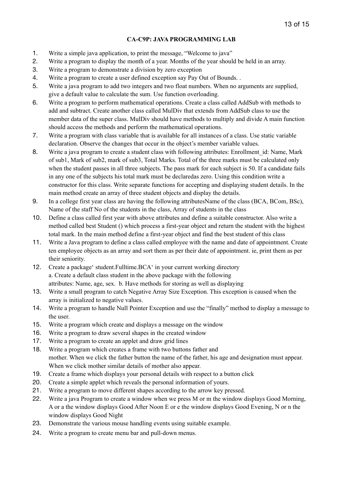### **CA-C9P: JAVA PROGRAMMING LAB**

- 1. Write a simple java application, to print the message, "Welcome to java"
- 2. Write a program to display the month of a year. Months of the year should be held in an array.
- 3. Write a program to demonstrate a division by zero exception
- 4. Write a program to create a user defined exception say Pay Out of Bounds. .
- 5. Write a java program to add two integers and two float numbers. When no arguments are supplied, give a default value to calculate the sum. Use function overloading.
- 6. Write a program to perform mathematical operations. Create a class called AddSub with methods to add and subtract. Create another class called MulDiv that extends from AddSub class to use the member data of the super class. MulDiv should have methods to multiply and divide A main function should access the methods and perform the mathematical operations.
- 7. Write a program with class variable that is available for all instances of a class. Use static variable declaration. Observe the changes that occur in the object's member variable values.
- 8. Write a java program to create a student class with following attributes: Enrollment id: Name, Mark of sub1, Mark of sub2, mark of sub3, Total Marks. Total of the three marks must be calculated only when the student passes in all three subjects. The pass mark for each subject is 50. If a candidate fails in any one of the subjects his total mark must be declaredas zero. Using this condition write a constructor for this class. Write separate functions for accepting and displaying student details. In the main method create an array of three student objects and display the details.
- 9. In a college first year class are having the following attributesName of the class (BCA, BCom, BSc), Name of the staff No of the students in the class, Array of students in the class
- 10. Define a class called first year with above attributes and define a suitable constructor. Also write a method called best Student () which process a first-year object and return the student with the highest total mark. In the main method define a first-year object and find the best student of this class
- 11. Write a Java program to define a class called employee with the name and date of appointment. Create ten employee objects as an array and sort them as per their date of appointment. ie, print them as per their seniority.
- 12. Create a package' student.Fulltime.BCA' in your current working directory a. Create a default class student in the above package with the following attributes: Name, age, sex. b. Have methods for storing as well as displaying
- 13. Write a small program to catch Negative Array Size Exception. This exception is caused when the array is initialized to negative values.
- 14. Write a program to handle Null Pointer Exception and use the "finally" method to display a message to the user.
- 15. Write a program which create and displays a message on the window
- 16. Write a program to draw several shapes in the created window
- 17. Write a program to create an applet and draw grid lines
- 18. Write a program which creates a frame with two buttons father and mother. When we click the father button the name of the father, his age and designation must appear. When we click mother similar details of mother also appear.
- 19. Create a frame which displays your personal details with respect to a button click
- 20. Create a simple applet which reveals the personal information of yours.
- 21. Write a program to move different shapes according to the arrow key pressed.
- 22. Write a java Program to create a window when we press M or m the window displays Good Morning, A or a the window displays Good After Noon E or e the window displays Good Evening, N or n the window displays Good Night
- 23. Demonstrate the various mouse handling events using suitable example.
- 24. Write a program to create menu bar and pull-down menus.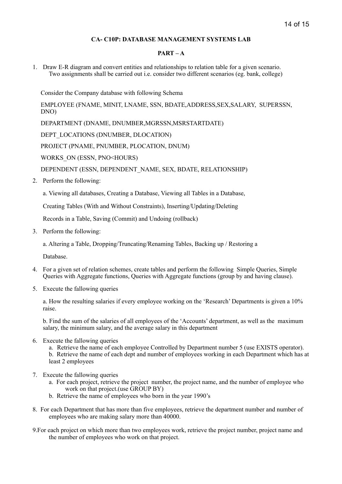### **CA- C10P: DATABASE MANAGEMENT SYSTEMS LAB**

### $PART - A$

1. Draw E-R diagram and convert entities and relationships to relation table for a given scenario. Two assignments shall be carried out i.e. consider two different scenarios (eg. bank, college)

Consider the Company database with following Schema

EMPLOYEE (FNAME, MINIT, LNAME, SSN, BDATE,ADDRESS,SEX,SALARY, SUPERSSN, DNO)

DEPARTMENT (DNAME, DNUMBER,MGRSSN,MSRSTARTDATE)

DEPT\_LOCATIONS (DNUMBER, DLOCATION)

PROJECT (PNAME, PNUMBER, PLOCATION, DNUM)

WORKS\_ON (ESSN, PNO<HOURS)

DEPENDENT (ESSN, DEPENDENT\_NAME, SEX, BDATE, RELATIONSHIP)

2. Perform the following:

a. Viewing all databases, Creating a Database, Viewing all Tables in a Database,

Creating Tables (With and Without Constraints), Inserting/Updating/Deleting

Records in a Table, Saving (Commit) and Undoing (rollback)

3. Perform the following:

a. Altering a Table, Dropping/Truncating/Renaming Tables, Backing up / Restoring a

Database.

- 4. For a given set of relation schemes, create tables and perform the following Simple Queries, Simple Queries with Aggregate functions, Queries with Aggregate functions (group by and having clause).
- 5. Execute the fallowing queries

a. How the resulting salaries if every employee working on the 'Research' Departments is given a 10% raise.

b. Find the sum of the salaries of all employees of the 'Accounts' department, as well as the maximum salary, the minimum salary, and the average salary in this department

6. Execute the fallowing queries

a. Retrieve the name of each employee Controlled by Department number 5 (use EXISTS operator). b. Retrieve the name of each dept and number of employees working in each Department which has at least 2 employees

- 7. Execute the fallowing queries
	- a. For each project, retrieve the project number, the project name, and the number of employee who work on that project.(use GROUP BY)
	- b. Retrieve the name of employees who born in the year 1990's
- 8. For each Department that has more than five employees, retrieve the department number and number of employees who are making salary more than 40000.
- 9.For each project on which more than two employees work, retrieve the project number, project name and the number of employees who work on that project.